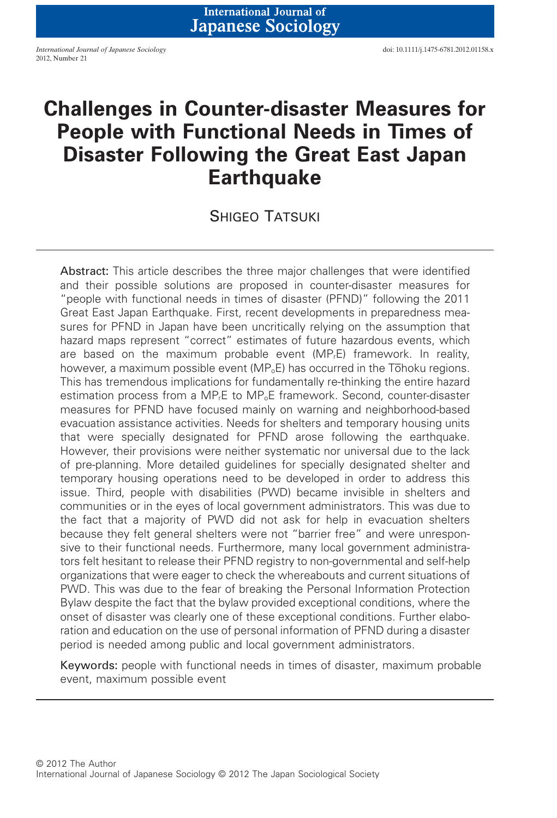# **Challenges in Counter-disaster Measures for People with Functional Needs in Times of Disaster Following the Great East Japan Earthquake**

SHIGEO TATSUKI

Abstract: This article describes the three major challenges that were identified and their possible solutions are proposed in counter-disaster measures for "people with functional needs in times of disaster (PFND)" following the 2011 Great East Japan Earthquake. First, recent developments in preparedness measures for PFND in Japan have been uncritically relying on the assumption that hazard maps represent "correct" estimates of future hazardous events, which are based on the maximum probable event (MP<sub>r</sub>E) framework. In reality, however, a maximum possible event  $(MP<sub>o</sub>E)$  has occurred in the Tonoku regions. This has tremendous implications for fundamentally re-thinking the entire hazard estimation process from a MP<sub>r</sub>E to MP<sub>o</sub>E framework. Second, counter-disaster measures for PFND have focused mainly on warning and neighborhood-based evacuation assistance activities. Needs for shelters and temporary housing units that were specially designated for PFND arose following the earthquake. However, their provisions were neither systematic nor universal due to the lack of pre-planning. More detailed guidelines for specially designated shelter and temporary housing operations need to be developed in order to address this issue. Third, people with disabilities (PWD) became invisible in shelters and communities or in the eyes of local government administrators. This was due to the fact that a majority of PWD did not ask for help in evacuation shelters because they felt general shelters were not "barrier free" and were unresponsive to their functional needs. Furthermore, many local government administrators felt hesitant to release their PFND registry to non-governmental and self-help organizations that were eager to check the whereabouts and current situations of PWD. This was due to the fear of breaking the Personal Information Protection Bylaw despite the fact that the bylaw provided exceptional conditions, where the onset of disaster was clearly one of these exceptional conditions. Further elaboration and education on the use of personal information of PFND during a disaster period is needed among public and local government administrators.

Keywords: people with functional needs in times of disaster, maximum probable event, maximum possible event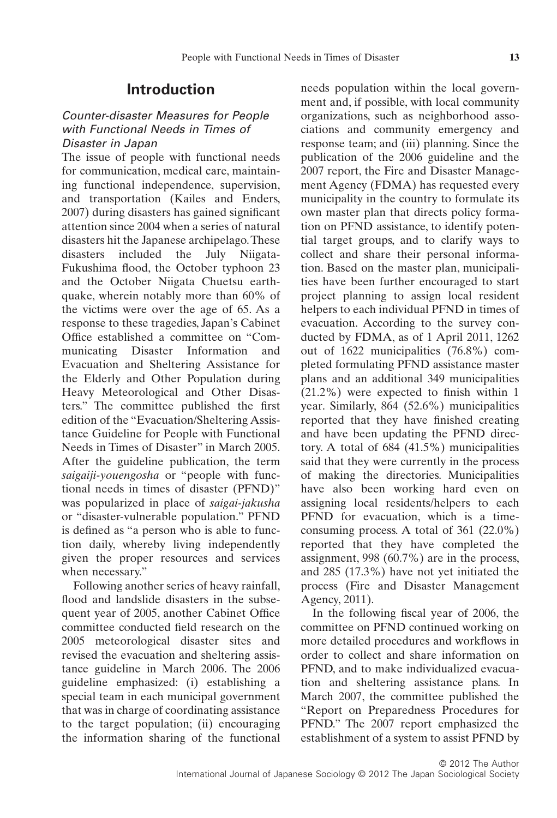# **Introduction**

#### *Counter-disaster Measures for People with Functional Needs in Times of Disaster in Japan*

The issue of people with functional needs for communication, medical care, maintaining functional independence, supervision, and transportation (Kailes and Enders, 2007) during disasters has gained significant attention since 2004 when a series of natural disasters hit the Japanese archipelago.These disasters included the July Niigata-Fukushima flood, the October typhoon 23 and the October Niigata Chuetsu earthquake, wherein notably more than 60% of the victims were over the age of 65. As a response to these tragedies, Japan's Cabinet Office established a committee on "Communicating Disaster Information and Evacuation and Sheltering Assistance for the Elderly and Other Population during Heavy Meteorological and Other Disasters." The committee published the first edition of the "Evacuation/Sheltering Assistance Guideline for People with Functional Needs in Times of Disaster" in March 2005. After the guideline publication, the term *saigaiji-youengosha* or "people with functional needs in times of disaster (PFND)" was popularized in place of *saigai-jakusha* or "disaster-vulnerable population." PFND is defined as "a person who is able to function daily, whereby living independently given the proper resources and services when necessary."

Following another series of heavy rainfall, flood and landslide disasters in the subsequent year of 2005, another Cabinet Office committee conducted field research on the 2005 meteorological disaster sites and revised the evacuation and sheltering assistance guideline in March 2006. The 2006 guideline emphasized: (i) establishing a special team in each municipal government that was in charge of coordinating assistance to the target population; (ii) encouraging the information sharing of the functional needs population within the local government and, if possible, with local community organizations, such as neighborhood associations and community emergency and response team; and (iii) planning. Since the publication of the 2006 guideline and the 2007 report, the Fire and Disaster Management Agency (FDMA) has requested every municipality in the country to formulate its own master plan that directs policy formation on PFND assistance, to identify potential target groups, and to clarify ways to collect and share their personal information. Based on the master plan, municipalities have been further encouraged to start project planning to assign local resident helpers to each individual PFND in times of evacuation. According to the survey conducted by FDMA, as of 1 April 2011, 1262 out of 1622 municipalities (76.8%) completed formulating PFND assistance master plans and an additional 349 municipalities (21.2%) were expected to finish within 1 year. Similarly, 864 (52.6%) municipalities reported that they have finished creating and have been updating the PFND directory. A total of 684 (41.5%) municipalities said that they were currently in the process of making the directories. Municipalities have also been working hard even on assigning local residents/helpers to each PFND for evacuation, which is a timeconsuming process. A total of 361 (22.0%) reported that they have completed the assignment, 998 (60.7%) are in the process, and 285 (17.3%) have not yet initiated the process (Fire and Disaster Management Agency, 2011).

In the following fiscal year of 2006, the committee on PFND continued working on more detailed procedures and workflows in order to collect and share information on PFND, and to make individualized evacuation and sheltering assistance plans. In March 2007, the committee published the "Report on Preparedness Procedures for PFND." The 2007 report emphasized the establishment of a system to assist PFND by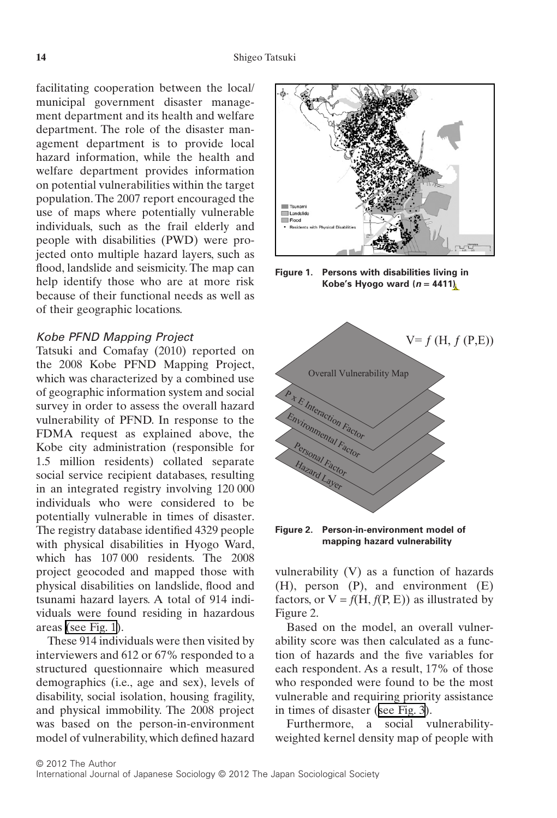facilitating cooperation between the local/ municipal government disaster management department and its health and welfare department. The role of the disaster management department is to provide local hazard information, while the health and welfare department provides information on potential vulnerabilities within the target population. The 2007 report encouraged the use of maps where potentially vulnerable individuals, such as the frail elderly and people with disabilities (PWD) were projected onto multiple hazard layers, such as flood, landslide and seismicity. The map can help identify those who are at more risk because of their functional needs as well as of their geographic locations.

#### *Kobe PFND Mapping Project*

Tatsuki and Comafay (2010) reported on the 2008 Kobe PFND Mapping Project, which was characterized by a combined use of geographic information system and social survey in order to assess the overall hazard vulnerability of PFND. In response to the FDMA request as explained above, the Kobe city administration (responsible for 1.5 million residents) collated separate social service recipient databases, resulting in an integrated registry involving 120 000 individuals who were considered to be potentially vulnerable in times of disaster. The registry database identified 4329 people with physical disabilities in Hyogo Ward, which has 107 000 residents. The 2008 project geocoded and mapped those with physical disabilities on landslide, flood and tsunami hazard layers. A total of 914 individuals were found residing in hazardous areas (see Fig. 1).

These 914 individuals were then visited by interviewers and 612 or 67% responded to a structured questionnaire which measured demographics (i.e., age and sex), levels of disability, social isolation, housing fragility, and physical immobility. The 2008 project was based on the person-in-environment model of vulnerability, which defined hazard



**Figure 1. Persons with disabilities living in Kobe's Hyogo ward (***n* = **4411)**



**Figure 2. Person-in-environment model of mapping hazard vulnerability**

vulnerability (V) as a function of hazards (H), person (P), and environment (E) factors, or  $V = f(H, f(P, E))$  as illustrated by Figure 2.

Based on the model, an overall vulnerability score was then calculated as a function of hazards and the five variables for each respondent. As a result, 17% of those who responded were found to be the most vulnerable and requiring priority assistance in times of disaster (see Fig. 3).

Furthermore, a social vulnerabilityweighted kernel density map of people with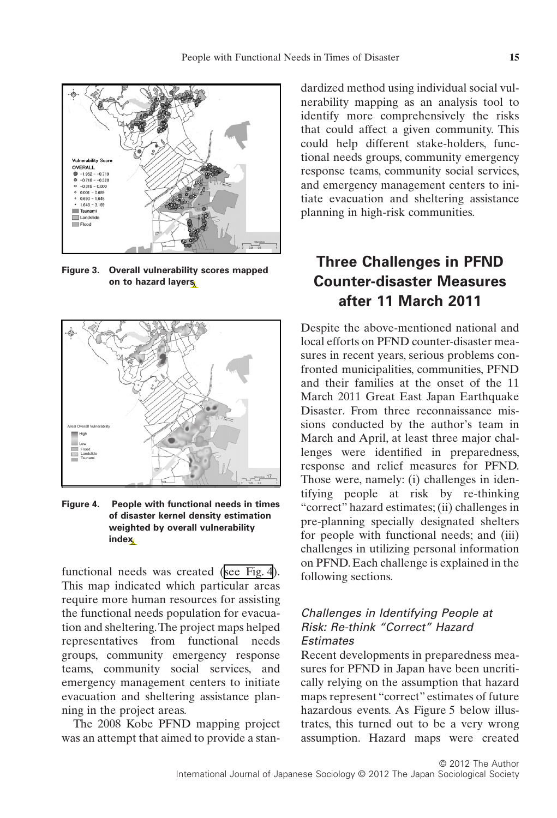

**Figure 3. Overall vulnerability scores mapped on to hazard layers**



**Figure 4. People with functional needs in times of disaster kernel density estimation weighted by overall vulnerability index**

functional needs was created (see Fig. 4). This map indicated which particular areas require more human resources for assisting the functional needs population for evacuation and sheltering.The project maps helped representatives from functional needs groups, community emergency response teams, community social services, and emergency management centers to initiate evacuation and sheltering assistance planning in the project areas.

The 2008 Kobe PFND mapping project was an attempt that aimed to provide a standardized method using individual social vulnerability mapping as an analysis tool to identify more comprehensively the risks that could affect a given community. This could help different stake-holders, functional needs groups, community emergency response teams, community social services, and emergency management centers to initiate evacuation and sheltering assistance planning in high-risk communities.

# **Three Challenges in PFND Counter-disaster Measures after 11 March 2011**

Despite the above-mentioned national and local efforts on PFND counter-disaster measures in recent years, serious problems confronted municipalities, communities, PFND and their families at the onset of the 11 March 2011 Great East Japan Earthquake Disaster. From three reconnaissance missions conducted by the author's team in March and April, at least three major challenges were identified in preparedness, response and relief measures for PFND. Those were, namely: (i) challenges in identifying people at risk by re-thinking "correct" hazard estimates; (ii) challenges in pre-planning specially designated shelters for people with functional needs; and (iii) challenges in utilizing personal information on PFND. Each challenge is explained in the following sections.

#### *Challenges in Identifying People at Risk: Re-think "Correct" Hazard Estimates*

Recent developments in preparedness measures for PFND in Japan have been uncritically relying on the assumption that hazard maps represent "correct" estimates of future hazardous events. As Figure 5 below illustrates, this turned out to be a very wrong assumption. Hazard maps were created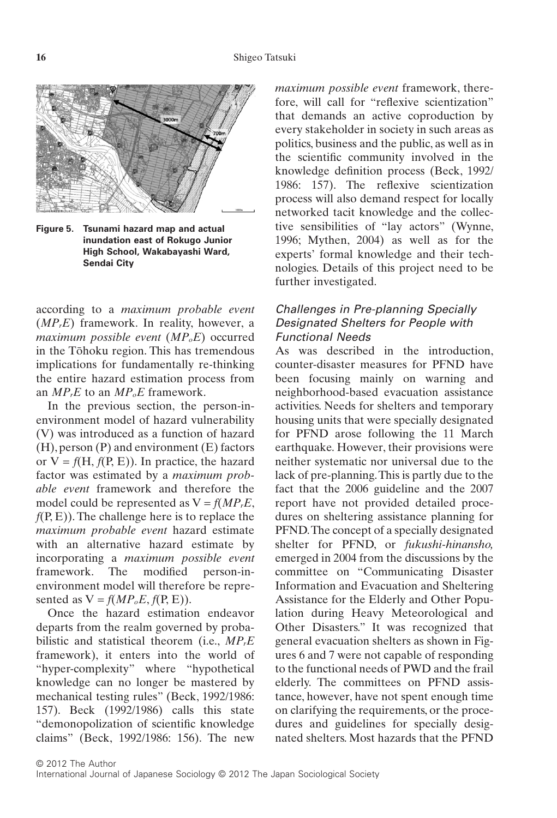

**Figure 5. Tsunami hazard map and actual inundation east of Rokugo Junior High School, Wakabayashi Ward, Sendai City**

according to a *maximum probable event* (*MPrE*) framework. In reality, however, a *maximum possible event* (*MPoE*) occurred in the Tōhoku region. This has tremendous implications for fundamentally re-thinking the entire hazard estimation process from an *MP<sub>r</sub>E* to an *MP<sub>n</sub>E* framework.

In the previous section, the person-inenvironment model of hazard vulnerability (V) was introduced as a function of hazard (H), person (P) and environment (E) factors or  $V = f(H, f(P, E))$ . In practice, the hazard factor was estimated by a *maximum probable event* framework and therefore the model could be represented as  $V = f(MP_rE)$ , *f*(P, E)). The challenge here is to replace the *maximum probable event* hazard estimate with an alternative hazard estimate by incorporating a *maximum possible event* framework. The modified person-inenvironment model will therefore be represented as  $V = f(MP_0E, f(P, E)).$ 

Once the hazard estimation endeavor departs from the realm governed by probabilistic and statistical theorem (i.e., *MPrE* framework), it enters into the world of "hyper-complexity" where "hypothetical knowledge can no longer be mastered by mechanical testing rules" (Beck, 1992/1986: 157). Beck (1992/1986) calls this state "demonopolization of scientific knowledge claims" (Beck, 1992/1986: 156). The new *maximum possible event* framework, therefore, will call for "reflexive scientization" that demands an active coproduction by every stakeholder in society in such areas as politics, business and the public, as well as in the scientific community involved in the knowledge definition process (Beck, 1992/ 1986: 157). The reflexive scientization process will also demand respect for locally networked tacit knowledge and the collective sensibilities of "lay actors" (Wynne, 1996; Mythen, 2004) as well as for the experts' formal knowledge and their technologies. Details of this project need to be further investigated.

#### *Challenges in Pre-planning Specially Designated Shelters for People with Functional Needs*

As was described in the introduction, counter-disaster measures for PFND have been focusing mainly on warning and neighborhood-based evacuation assistance activities. Needs for shelters and temporary housing units that were specially designated for PFND arose following the 11 March earthquake. However, their provisions were neither systematic nor universal due to the lack of pre-planning.This is partly due to the fact that the 2006 guideline and the 2007 report have not provided detailed procedures on sheltering assistance planning for PFND.The concept of a specially designated shelter for PFND, or *fukushi-hinansho,* emerged in 2004 from the discussions by the committee on "Communicating Disaster Information and Evacuation and Sheltering Assistance for the Elderly and Other Population during Heavy Meteorological and Other Disasters." It was recognized that general evacuation shelters as shown in Figures 6 and 7 were not capable of responding to the functional needs of PWD and the frail elderly. The committees on PFND assistance, however, have not spent enough time on clarifying the requirements, or the procedures and guidelines for specially designated shelters. Most hazards that the PFND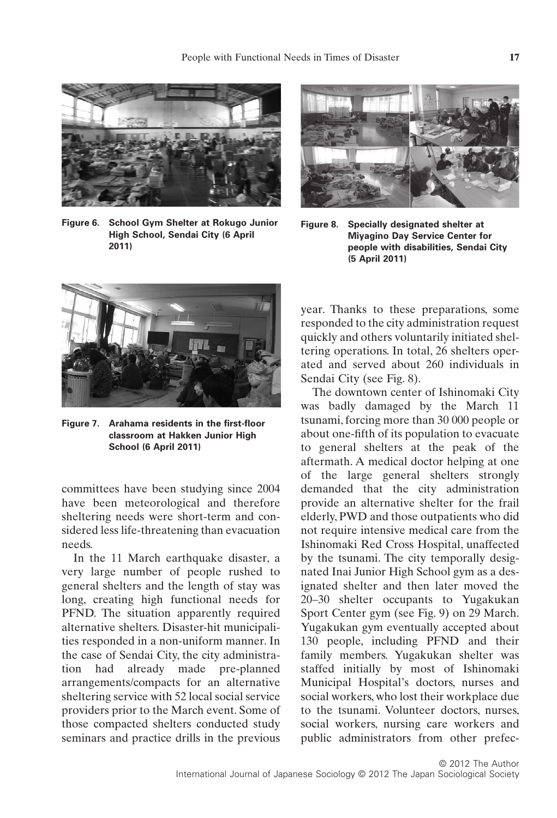

**Figure 6. School Gym Shelter at Rokugo Junior High School, Sendai City (6 April 2011)**







**Figure 7. Arahama residents in the first-floor classroom at Hakken Junior High School (6 April 2011)**

committees have been studying since 2004 have been meteorological and therefore sheltering needs were short-term and considered less life-threatening than evacuation needs.

In the 11 March earthquake disaster, a very large number of people rushed to general shelters and the length of stay was long, creating high functional needs for PFND. The situation apparently required alternative shelters. Disaster-hit municipalities responded in a non-uniform manner. In the case of Sendai City, the city administration had already made pre-planned arrangements/compacts for an alternative sheltering service with 52 local social service providers prior to the March event. Some of those compacted shelters conducted study seminars and practice drills in the previous

year. Thanks to these preparations, some responded to the city administration request quickly and others voluntarily initiated sheltering operations. In total, 26 shelters operated and served about 260 individuals in Sendai City (see Fig. 8).

The downtown center of Ishinomaki City was badly damaged by the March 11 tsunami, forcing more than 30 000 people or about one-fifth of its population to evacuate to general shelters at the peak of the aftermath. A medical doctor helping at one of the large general shelters strongly demanded that the city administration provide an alternative shelter for the frail elderly, PWD and those outpatients who did not require intensive medical care from the Ishinomaki Red Cross Hospital, unaffected by the tsunami. The city temporally designated Inai Junior High School gym as a designated shelter and then later moved the 20–30 shelter occupants to Yugakukan Sport Center gym (see Fig. 9) on 29 March. Yugakukan gym eventually accepted about 130 people, including PFND and their family members. Yugakukan shelter was staffed initially by most of Ishinomaki Municipal Hospital's doctors, nurses and social workers, who lost their workplace due to the tsunami. Volunteer doctors, nurses, social workers, nursing care workers and public administrators from other prefec-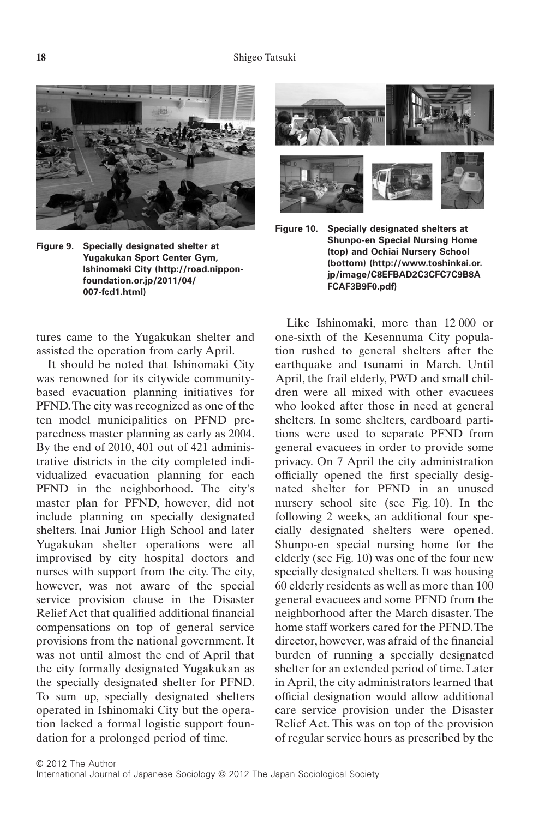

**Figure 9. Specially designated shelter at Yugakukan Sport Center Gym, Ishinomaki City (http://road.nipponfoundation.or.jp/2011/04/ 007-fcd1.html)**

tures came to the Yugakukan shelter and assisted the operation from early April.

It should be noted that Ishinomaki City was renowned for its citywide communitybased evacuation planning initiatives for PFND.The city was recognized as one of the ten model municipalities on PFND preparedness master planning as early as 2004. By the end of 2010, 401 out of 421 administrative districts in the city completed individualized evacuation planning for each PFND in the neighborhood. The city's master plan for PFND, however, did not include planning on specially designated shelters. Inai Junior High School and later Yugakukan shelter operations were all improvised by city hospital doctors and nurses with support from the city. The city, however, was not aware of the special service provision clause in the Disaster Relief Act that qualified additional financial compensations on top of general service provisions from the national government. It was not until almost the end of April that the city formally designated Yugakukan as the specially designated shelter for PFND. To sum up, specially designated shelters operated in Ishinomaki City but the operation lacked a formal logistic support foundation for a prolonged period of time.



**Figure 10. Specially designated shelters at Shunpo-en Special Nursing Home (top) and Ochiai Nursery School (bottom) (http://www.toshinkai.or. jp/image/C8EFBAD2C3CFC7C9B8A FCAF3B9F0.pdf)**

Like Ishinomaki, more than 12 000 or one-sixth of the Kesennuma City population rushed to general shelters after the earthquake and tsunami in March. Until April, the frail elderly, PWD and small children were all mixed with other evacuees who looked after those in need at general shelters. In some shelters, cardboard partitions were used to separate PFND from general evacuees in order to provide some privacy. On 7 April the city administration officially opened the first specially designated shelter for PFND in an unused nursery school site (see Fig. 10). In the following 2 weeks, an additional four specially designated shelters were opened. Shunpo-en special nursing home for the elderly (see Fig. 10) was one of the four new specially designated shelters. It was housing 60 elderly residents as well as more than 100 general evacuees and some PFND from the neighborhood after the March disaster. The home staff workers cared for the PFND.The director, however, was afraid of the financial burden of running a specially designated shelter for an extended period of time. Later in April, the city administrators learned that official designation would allow additional care service provision under the Disaster Relief Act. This was on top of the provision of regular service hours as prescribed by the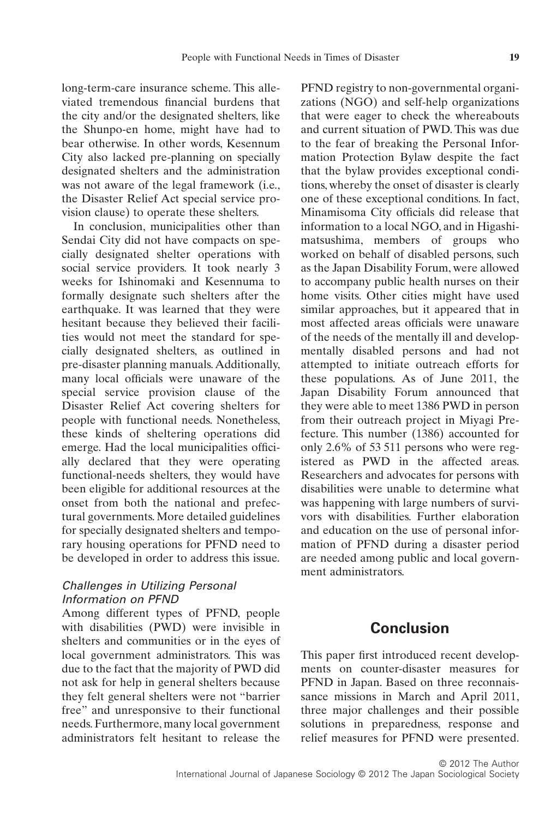long-term-care insurance scheme. This alleviated tremendous financial burdens that the city and/or the designated shelters, like the Shunpo-en home, might have had to bear otherwise. In other words, Kesennum City also lacked pre-planning on specially designated shelters and the administration was not aware of the legal framework *(i.e.,* the Disaster Relief Act special service provision clause) to operate these shelters.

In conclusion, municipalities other than Sendai City did not have compacts on specially designated shelter operations with social service providers. It took nearly 3 weeks for Ishinomaki and Kesennuma to formally designate such shelters after the earthquake. It was learned that they were hesitant because they believed their facilities would not meet the standard for specially designated shelters, as outlined in pre-disaster planning manuals.Additionally, many local officials were unaware of the special service provision clause of the Disaster Relief Act covering shelters for people with functional needs. Nonetheless, these kinds of sheltering operations did emerge. Had the local municipalities officially declared that they were operating functional-needs shelters, they would have been eligible for additional resources at the onset from both the national and prefectural governments. More detailed guidelines for specially designated shelters and temporary housing operations for PFND need to be developed in order to address this issue.

#### *Challenges in Utilizing Personal Information on PFND*

Among different types of PFND, people with disabilities (PWD) were invisible in shelters and communities or in the eyes of local government administrators. This was due to the fact that the majority of PWD did not ask for help in general shelters because they felt general shelters were not "barrier free" and unresponsive to their functional needs. Furthermore, many local government administrators felt hesitant to release the

PFND registry to non-governmental organizations (NGO) and self-help organizations that were eager to check the whereabouts and current situation of PWD. This was due to the fear of breaking the Personal Information Protection Bylaw despite the fact that the bylaw provides exceptional conditions, whereby the onset of disaster is clearly one of these exceptional conditions. In fact, Minamisoma City officials did release that information to a local NGO, and in Higashimatsushima, members of groups who worked on behalf of disabled persons, such as the Japan Disability Forum, were allowed to accompany public health nurses on their home visits. Other cities might have used similar approaches, but it appeared that in most affected areas officials were unaware of the needs of the mentally ill and developmentally disabled persons and had not attempted to initiate outreach efforts for these populations. As of June 2011, the Japan Disability Forum announced that they were able to meet 1386 PWD in person from their outreach project in Miyagi Prefecture. This number (1386) accounted for only 2.6% of 53 511 persons who were registered as PWD in the affected areas. Researchers and advocates for persons with disabilities were unable to determine what was happening with large numbers of survivors with disabilities. Further elaboration and education on the use of personal information of PFND during a disaster period are needed among public and local government administrators.

## **Conclusion**

This paper first introduced recent developments on counter-disaster measures for PFND in Japan. Based on three reconnaissance missions in March and April 2011, three major challenges and their possible solutions in preparedness, response and relief measures for PFND were presented.